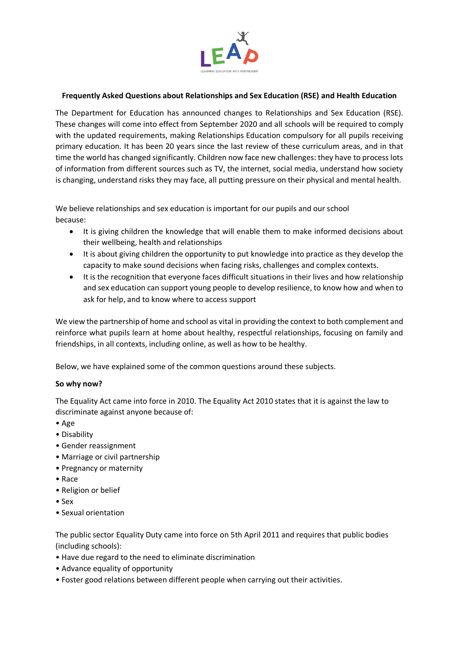

## **Frequently Asked Questions about Relationships and Sex Education (RSE) and Health Education**

The Department for Education has announced changes to Relationships and Sex Education (RSE). These changes will come into effect from September 2020 and all schools will be required to comply with the updated requirements, making Relationships Education compulsory for all pupils receiving primary education. It has been 20 years since the last review of these curriculum areas, and in that time the world has changed significantly. Children now face new challenges: they have to process lots of information from different sources such as TV, the internet, social media, understand how society is changing, understand risks they may face, all putting pressure on their physical and mental health.

We believe relationships and sex education is important for our pupils and our school because:

- It is giving children the knowledge that will enable them to make informed decisions about their wellbeing, health and relationships
- It is about giving children the opportunity to put knowledge into practice as they develop the capacity to make sound decisions when facing risks, challenges and complex contexts.
- It is the recognition that everyone faces difficult situations in their lives and how relationship and sex education can support young people to develop resilience, to know how and when to ask for help, and to know where to access support

We view the partnership of home and school as vital in providing the context to both complement and reinforce what pupils learn at home about healthy, respectful relationships, focusing on family and friendships, in all contexts, including online, as well as how to be healthy.

Below, we have explained some of the common questions around these subjects.

# **So why now?**

The Equality Act came into force in 2010. The Equality Act 2010 states that it is against the law to discriminate against anyone because of:

- Age
- Disability
- Gender reassignment
- Marriage or civil partnership
- Pregnancy or maternity
- Race
- Religion or belief
- Sex
- Sexual orientation

The public sector Equality Duty came into force on 5th April 2011 and requires that public bodies (including schools):

- Have due regard to the need to eliminate discrimination
- Advance equality of opportunity
- Foster good relations between different people when carrying out their activities.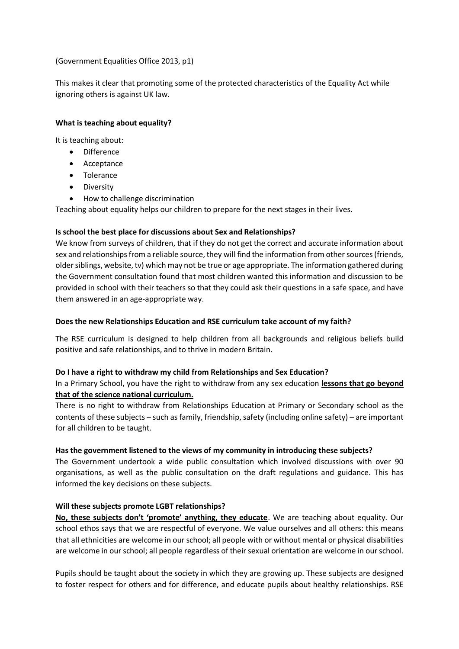## (Government Equalities Office 2013, p1)

This makes it clear that promoting some of the protected characteristics of the Equality Act while ignoring others is against UK law.

## **What is teaching about equality?**

It is teaching about:

- Difference
- Acceptance
- Tolerance
- **•** Diversity
- How to challenge discrimination

Teaching about equality helps our children to prepare for the next stages in their lives.

## **Is school the best place for discussions about Sex and Relationships?**

We know from surveys of children, that if they do not get the correct and accurate information about sex and relationships from a reliable source, they will find the information from other sources (friends, older siblings, website, tv) which may not be true or age appropriate. The information gathered during the Government consultation found that most children wanted this information and discussion to be provided in school with their teachers so that they could ask their questions in a safe space, and have them answered in an age-appropriate way.

## **Does the new Relationships Education and RSE curriculum take account of my faith?**

The RSE curriculum is designed to help children from all backgrounds and religious beliefs build positive and safe relationships, and to thrive in modern Britain.

### **Do I have a right to withdraw my child from Relationships and Sex Education?**

# In a Primary School, you have the right to withdraw from any sex education **lessons that go beyond that of the science national curriculum.**

There is no right to withdraw from Relationships Education at Primary or Secondary school as the contents of these subjects – such as family, friendship, safety (including online safety) – are important for all children to be taught.

### **Has the government listened to the views of my community in introducing these subjects?**

The Government undertook a wide public consultation which involved discussions with over 90 organisations, as well as the public consultation on the draft regulations and guidance. This has informed the key decisions on these subjects.

### **Will these subjects promote LGBT relationships?**

**No, these subjects don't 'promote' anything, they educate**. We are teaching about equality. Our school ethos says that we are respectful of everyone. We value ourselves and all others: this means that all ethnicities are welcome in our school; all people with or without mental or physical disabilities are welcome in our school; all people regardless of their sexual orientation are welcome in our school.

Pupils should be taught about the society in which they are growing up. These subjects are designed to foster respect for others and for difference, and educate pupils about healthy relationships. RSE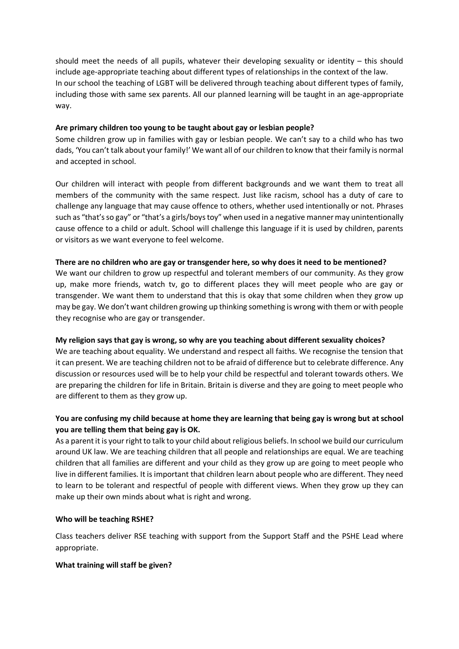should meet the needs of all pupils, whatever their developing sexuality or identity – this should include age-appropriate teaching about different types of relationships in the context of the law. In our school the teaching of LGBT will be delivered through teaching about different types of family, including those with same sex parents. All our planned learning will be taught in an age-appropriate way.

## **Are primary children too young to be taught about gay or lesbian people?**

Some children grow up in families with gay or lesbian people. We can't say to a child who has two dads, 'You can't talk about your family!' We want all of our children to know that their family is normal and accepted in school.

Our children will interact with people from different backgrounds and we want them to treat all members of the community with the same respect. Just like racism, school has a duty of care to challenge any language that may cause offence to others, whether used intentionally or not. Phrases such as "that's so gay" or "that's a girls/boys toy" when used in a negative manner may unintentionally cause offence to a child or adult. School will challenge this language if it is used by children, parents or visitors as we want everyone to feel welcome.

## **There are no children who are gay or transgender here, so why does it need to be mentioned?**

We want our children to grow up respectful and tolerant members of our community. As they grow up, make more friends, watch tv, go to different places they will meet people who are gay or transgender. We want them to understand that this is okay that some children when they grow up may be gay. We don't want children growing up thinking something is wrong with them or with people they recognise who are gay or transgender.

# **My religion says that gay is wrong, so why are you teaching about different sexuality choices?**

We are teaching about equality. We understand and respect all faiths. We recognise the tension that it can present. We are teaching children not to be afraid of difference but to celebrate difference. Any discussion or resources used will be to help your child be respectful and tolerant towards others. We are preparing the children for life in Britain. Britain is diverse and they are going to meet people who are different to them as they grow up.

# **You are confusing my child because at home they are learning that being gay is wrong but at school you are telling them that being gay is OK.**

As a parent it is your right to talk to your child about religious beliefs. In school we build our curriculum around UK law. We are teaching children that all people and relationships are equal. We are teaching children that all families are different and your child as they grow up are going to meet people who live in different families. It is important that children learn about people who are different. They need to learn to be tolerant and respectful of people with different views. When they grow up they can make up their own minds about what is right and wrong.

### **Who will be teaching RSHE?**

Class teachers deliver RSE teaching with support from the Support Staff and the PSHE Lead where appropriate.

### **What training will staff be given?**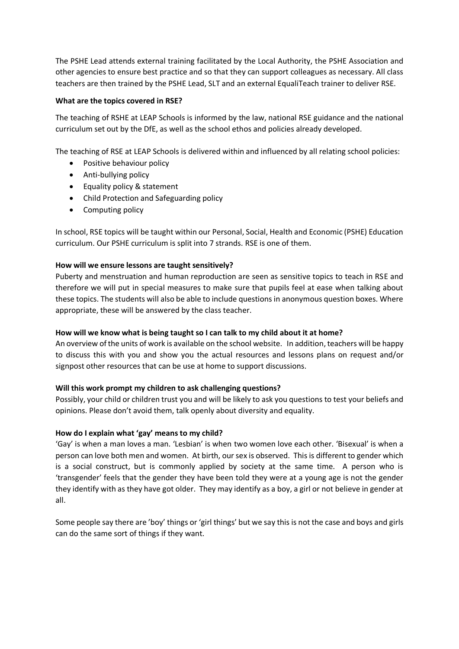The PSHE Lead attends external training facilitated by the Local Authority, the PSHE Association and other agencies to ensure best practice and so that they can support colleagues as necessary. All class teachers are then trained by the PSHE Lead, SLT and an external EqualiTeach trainer to deliver RSE.

## **What are the topics covered in RSE?**

The teaching of RSHE at LEAP Schools is informed by the law, national RSE guidance and the national curriculum set out by the DfE, as well as the school ethos and policies already developed.

The teaching of RSE at LEAP Schools is delivered within and influenced by all relating school policies:

- Positive behaviour policy
- Anti-bullying policy
- Equality policy & statement
- Child Protection and Safeguarding policy
- Computing policy

In school, RSE topics will be taught within our Personal, Social, Health and Economic (PSHE) Education curriculum. Our PSHE curriculum is split into 7 strands. RSE is one of them.

# **How will we ensure lessons are taught sensitively?**

Puberty and menstruation and human reproduction are seen as sensitive topics to teach in RSE and therefore we will put in special measures to make sure that pupils feel at ease when talking about these topics. The students will also be able to include questions in anonymous question boxes. Where appropriate, these will be answered by the class teacher.

# **How will we know what is being taught so I can talk to my child about it at home?**

An overview of the units of work is available on the school website. In addition, teachers will be happy to discuss this with you and show you the actual resources and lessons plans on request and/or signpost other resources that can be use at home to support discussions.

# **Will this work prompt my children to ask challenging questions?**

Possibly, your child or children trust you and will be likely to ask you questions to test your beliefs and opinions. Please don't avoid them, talk openly about diversity and equality.

### **How do I explain what 'gay' means to my child?**

'Gay' is when a man loves a man. 'Lesbian' is when two women love each other. 'Bisexual' is when a person can love both men and women. At birth, our sex is observed. This is different to gender which is a social construct, but is commonly applied by society at the same time. A person who is 'transgender' feels that the gender they have been told they were at a young age is not the gender they identify with as they have got older. They may identify as a boy, a girl or not believe in gender at all.

Some people say there are 'boy' things or 'girl things' but we say this is not the case and boys and girls can do the same sort of things if they want.